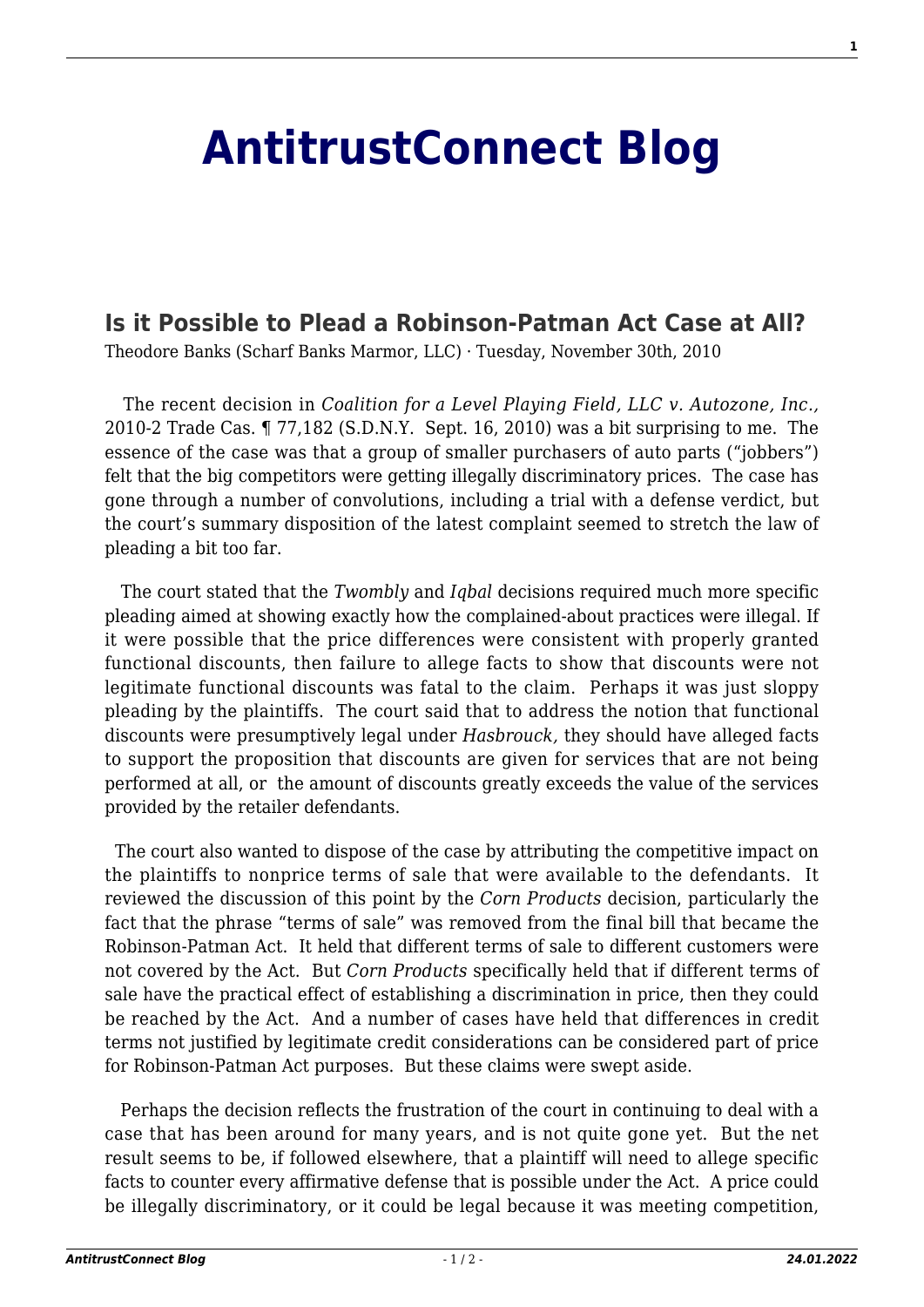## **[AntitrustConnect Blog](http://antitrustconnect.com/)**

## **[Is it Possible to Plead a Robinson-Patman Act Case at All?](http://antitrustconnect.com/2010/11/30/is-it-possible-to-plead-a-robinson-patman-act-case-at-all/)**

Theodore Banks (Scharf Banks Marmor, LLC) · Tuesday, November 30th, 2010

 The recent decision in *Coalition for a Level Playing Field, LLC v. Autozone, Inc.,* 2010-2 Trade Cas. ¶ 77,182 (S.D.N.Y. Sept. 16, 2010) was a bit surprising to me. The essence of the case was that a group of smaller purchasers of auto parts ("jobbers") felt that the big competitors were getting illegally discriminatory prices. The case has gone through a number of convolutions, including a trial with a defense verdict, but the court's summary disposition of the latest complaint seemed to stretch the law of pleading a bit too far.

 The court stated that the *Twombly* and *Iqbal* decisions required much more specific pleading aimed at showing exactly how the complained-about practices were illegal. If it were possible that the price differences were consistent with properly granted functional discounts, then failure to allege facts to show that discounts were not legitimate functional discounts was fatal to the claim. Perhaps it was just sloppy pleading by the plaintiffs. The court said that to address the notion that functional discounts were presumptively legal under *Hasbrouck,* they should have alleged facts to support the proposition that discounts are given for services that are not being performed at all, or the amount of discounts greatly exceeds the value of the services provided by the retailer defendants.

 The court also wanted to dispose of the case by attributing the competitive impact on the plaintiffs to nonprice terms of sale that were available to the defendants. It reviewed the discussion of this point by the *Corn Products* decision, particularly the fact that the phrase "terms of sale" was removed from the final bill that became the Robinson-Patman Act. It held that different terms of sale to different customers were not covered by the Act. But *Corn Products* specifically held that if different terms of sale have the practical effect of establishing a discrimination in price, then they could be reached by the Act. And a number of cases have held that differences in credit terms not justified by legitimate credit considerations can be considered part of price for Robinson-Patman Act purposes. But these claims were swept aside.

 Perhaps the decision reflects the frustration of the court in continuing to deal with a case that has been around for many years, and is not quite gone yet. But the net result seems to be, if followed elsewhere, that a plaintiff will need to allege specific facts to counter every affirmative defense that is possible under the Act. A price could be illegally discriminatory, or it could be legal because it was meeting competition,